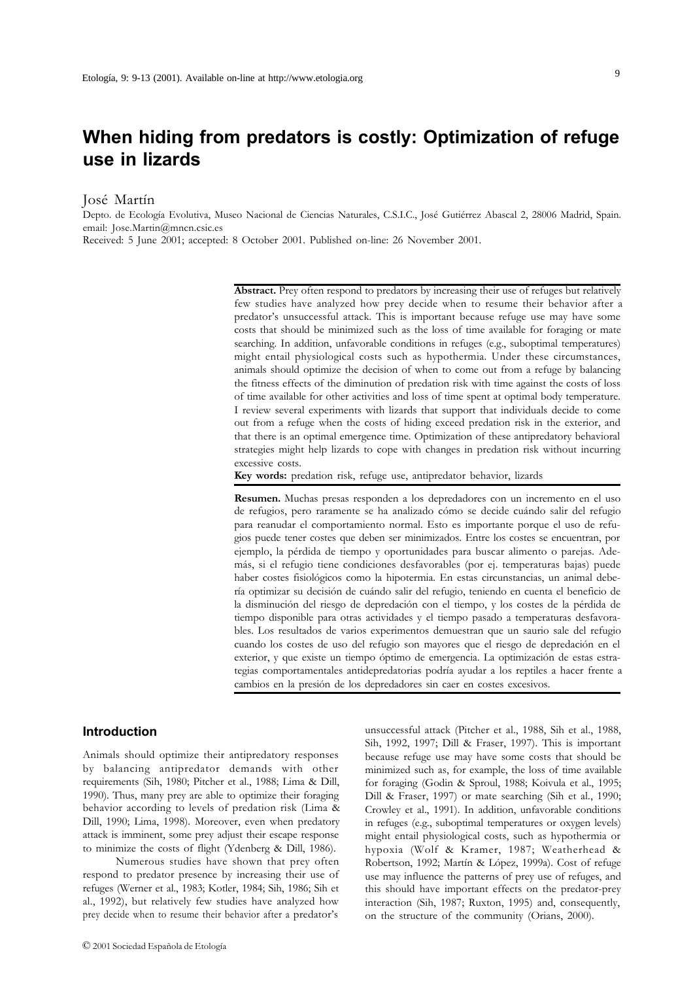# **When hiding from predators is costly: Optimization of refuge use in lizards**

José Martín

Depto. de Ecología Evolutiva, Museo Nacional de Ciencias Naturales, C.S.I.C., José Gutiérrez Abascal 2, 28006 Madrid, Spain. email: Jose.Martin@mncn.csic.es

Received: 5 June 2001; accepted: 8 October 2001. Published on-line: 26 November 2001.

**Abstract.** Prey often respond to predators by increasing their use of refuges but relatively few studies have analyzed how prey decide when to resume their behavior after a predator's unsuccessful attack. This is important because refuge use may have some costs that should be minimized such as the loss of time available for foraging or mate searching. In addition, unfavorable conditions in refuges (e.g., suboptimal temperatures) might entail physiological costs such as hypothermia. Under these circumstances, animals should optimize the decision of when to come out from a refuge by balancing the fitness effects of the diminution of predation risk with time against the costs of loss of time available for other activities and loss of time spent at optimal body temperature. I review several experiments with lizards that support that individuals decide to come out from a refuge when the costs of hiding exceed predation risk in the exterior, and that there is an optimal emergence time. Optimization of these antipredatory behavioral strategies might help lizards to cope with changes in predation risk without incurring excessive costs.

**Key words:** predation risk, refuge use, antipredator behavior, lizards

**Resumen.** Muchas presas responden a los depredadores con un incremento en el uso de refugios, pero raramente se ha analizado cómo se decide cuándo salir del refugio para reanudar el comportamiento normal. Esto es importante porque el uso de refugios puede tener costes que deben ser minimizados. Entre los costes se encuentran, por ejemplo, la pérdida de tiempo y oportunidades para buscar alimento o parejas. Además, si el refugio tiene condiciones desfavorables (por ej. temperaturas bajas) puede haber costes fisiológicos como la hipotermia. En estas circunstancias, un animal debería optimizar su decisión de cuándo salir del refugio, teniendo en cuenta el beneficio de la disminución del riesgo de depredación con el tiempo, y los costes de la pérdida de tiempo disponible para otras actividades y el tiempo pasado a temperaturas desfavorables. Los resultados de varios experimentos demuestran que un saurio sale del refugio cuando los costes de uso del refugio son mayores que el riesgo de depredación en el exterior, y que existe un tiempo óptimo de emergencia. La optimización de estas estrategias comportamentales antidepredatorias podría ayudar a los reptiles a hacer frente a cambios en la presión de los depredadores sin caer en costes excesivos.

#### **Introduction**

Animals should optimize their antipredatory responses by balancing antipredator demands with other requirements (Sih, 1980; Pitcher et al., 1988; Lima & Dill, 1990). Thus, many prey are able to optimize their foraging behavior according to levels of predation risk (Lima & Dill, 1990; Lima, 1998). Moreover, even when predatory attack is imminent, some prey adjust their escape response to minimize the costs of flight (Ydenberg & Dill, 1986).

Numerous studies have shown that prey often respond to predator presence by increasing their use of refuges (Werner et al., 1983; Kotler, 1984; Sih, 1986; Sih et al., 1992), but relatively few studies have analyzed how prey decide when to resume their behavior after a predator's

unsuccessful attack (Pitcher et al., 1988, Sih et al., 1988, Sih, 1992, 1997; Dill & Fraser, 1997). This is important because refuge use may have some costs that should be minimized such as, for example, the loss of time available for foraging (Godin & Sproul, 1988; Koivula et al., 1995; Dill & Fraser, 1997) or mate searching (Sih et al., 1990; Crowley et al., 1991). In addition, unfavorable conditions in refuges (e.g., suboptimal temperatures or oxygen levels) might entail physiological costs, such as hypothermia or hypoxia (Wolf & Kramer, 1987; Weatherhead & Robertson, 1992; Martín & López, 1999a). Cost of refuge use may influence the patterns of prey use of refuges, and this should have important effects on the predator-prey interaction (Sih, 1987; Ruxton, 1995) and, consequently, on the structure of the community (Orians, 2000).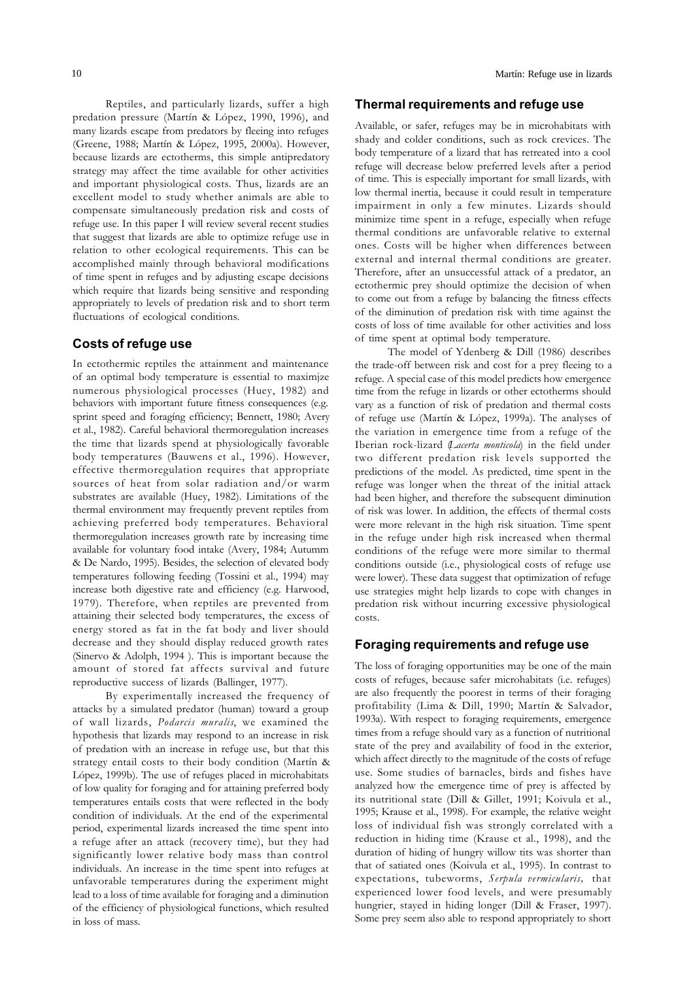Reptiles, and particularly lizards, suffer a high predation pressure (Martín & López, 1990, 1996), and many lizards escape from predators by fleeing into refuges (Greene, 1988; Martín & López, 1995, 2000a). However, because lizards are ectotherms, this simple antipredatory strategy may affect the time available for other activities and important physiological costs. Thus, lizards are an excellent model to study whether animals are able to compensate simultaneously predation risk and costs of refuge use. In this paper I will review several recent studies that suggest that lizards are able to optimize refuge use in relation to other ecological requirements. This can be accomplished mainly through behavioral modifications of time spent in refuges and by adjusting escape decisions which require that lizards being sensitive and responding appropriately to levels of predation risk and to short term fluctuations of ecological conditions.

### **Costs of refuge use**

In ectothermic reptiles the attainment and maintenance of an optimal body temperature is essential to maximjze numerous physiological processes (Huey, 1982) and behaviors with important future fitness consequences (e.g. sprint speed and foragíng efficiency; Bennett, 1980; Avery et al., 1982). Careful behavioral thermoregulation increases the time that lizards spend at physiologically favorable body temperatures (Bauwens et al., 1996). However, effective thermoregulation requires that appropriate sources of heat from solar radiation and/or warm substrates are available (Huey, 1982). Limitations of the thermal environment may frequently prevent reptiles from achieving preferred body temperatures. Behavioral thermoregulation increases growth rate by increasing time available for voluntary food intake (Avery, 1984; Autumm & De Nardo, 1995). Besides, the selection of elevated body temperatures following feeding (Tossini et al., 1994) may increase both digestive rate and efficiency (e.g. Harwood, 1979). Therefore, when reptiles are prevented from attaining their selected body temperatures, the excess of energy stored as fat in the fat body and liver should decrease and they should display reduced growth rates (Sinervo & Adolph, 1994 ). This is important because the amount of stored fat affects survival and future reproductive success of lizards (Ballinger, 1977).

By experimentally increased the frequency of attacks by a simulated predator (human) toward a group of wall lizards, *Podarcis muralis*, we examined the hypothesis that lizards may respond to an increase in risk of predation with an increase in refuge use, but that this strategy entail costs to their body condition (Martín & López, 1999b). The use of refuges placed in microhabitats of low quality for foraging and for attaining preferred body temperatures entails costs that were reflected in the body condition of individuals. At the end of the experimental period, experimental lizards increased the time spent into a refuge after an attack (recovery time), but they had significantly lower relative body mass than control individuals. An increase in the time spent into refuges at unfavorable temperatures during the experiment might lead to a loss of time available for foraging and a diminution of the efficiency of physiological functions, which resulted in loss of mass.

#### **Thermal requirements and refuge use**

Available, or safer, refuges may be in microhabitats with shady and colder conditions, such as rock crevices. The body temperature of a lizard that has retreated into a cool refuge will decrease below preferred levels after a period of time. This is especially important for small lizards, with low thermal inertia, because it could result in temperature impairment in only a few minutes. Lizards should minimize time spent in a refuge, especially when refuge thermal conditions are unfavorable relative to external ones. Costs will be higher when differences between external and internal thermal conditions are greater. Therefore, after an unsuccessful attack of a predator, an ectothermic prey should optimize the decision of when to come out from a refuge by balancing the fitness effects of the diminution of predation risk with time against the costs of loss of time available for other activities and loss of time spent at optimal body temperature.

The model of Ydenberg & Dill (1986) describes the trade-off between risk and cost for a prey fleeing to a refuge. A special case of this model predicts how emergence time from the refuge in lizards or other ectotherms should vary as a function of risk of predation and thermal costs of refuge use (Martín & López, 1999a). The analyses of the variation in emergence time from a refuge of the Iberian rock-lizard (*Lacerta monticola*) in the field under two different predation risk levels supported the predictions of the model. As predicted, time spent in the refuge was longer when the threat of the initial attack had been higher, and therefore the subsequent diminution of risk was lower. In addition, the effects of thermal costs were more relevant in the high risk situation. Time spent in the refuge under high risk increased when thermal conditions of the refuge were more similar to thermal conditions outside (i.e., physiological costs of refuge use were lower). These data suggest that optimization of refuge use strategies might help lizards to cope with changes in predation risk without incurring excessive physiological costs.

# **Foraging requirements and refuge use**

The loss of foraging opportunities may be one of the main costs of refuges, because safer microhabitats (i.e. refuges) are also frequently the poorest in terms of their foraging profitability (Lima & Dill, 1990; Martín & Salvador, 1993a). With respect to foraging requirements, emergence times from a refuge should vary as a function of nutritional state of the prey and availability of food in the exterior, which affect directly to the magnitude of the costs of refuge use. Some studies of barnacles, birds and fishes have analyzed how the emergence time of prey is affected by its nutritional state (Dill & Gillet, 1991; Koivula et al., 1995; Krause et al., 1998). For example, the relative weight loss of individual fish was strongly correlated with a reduction in hiding time (Krause et al., 1998), and the duration of hiding of hungry willow tits was shorter than that of satiated ones (Koivula et al., 1995). In contrast to expectations, tubeworms, *Serpula vermicularis,* that experienced lower food levels, and were presumably hungrier, stayed in hiding longer (Dill & Fraser, 1997). Some prey seem also able to respond appropriately to short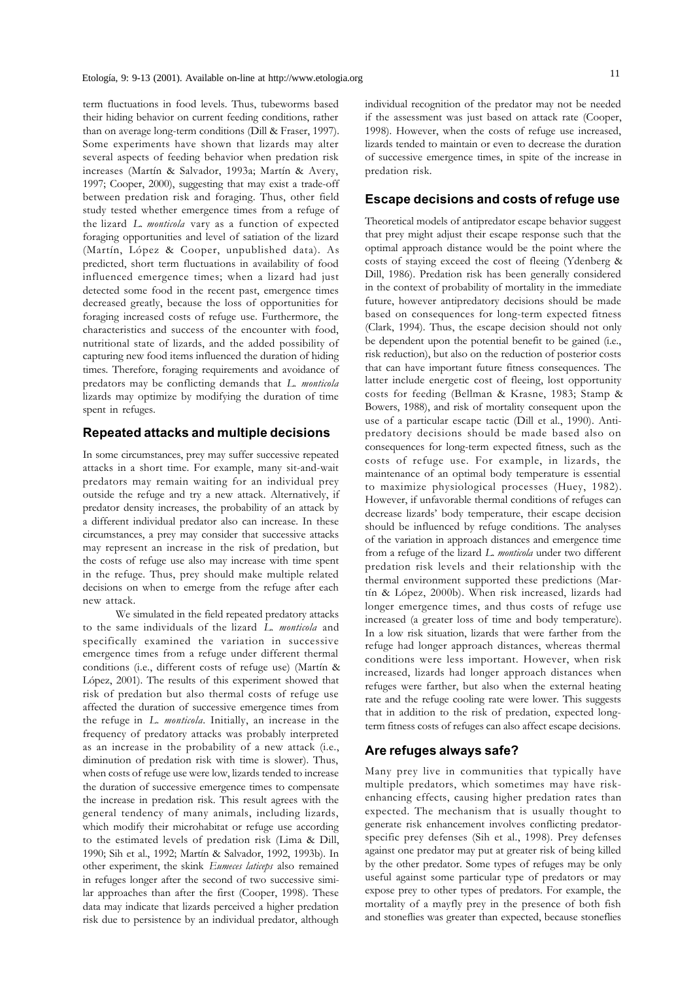term fluctuations in food levels. Thus, tubeworms based their hiding behavior on current feeding conditions, rather than on average long-term conditions (Dill & Fraser, 1997). Some experiments have shown that lizards may alter several aspects of feeding behavior when predation risk increases (Martín & Salvador, 1993a; Martín & Avery, 1997; Cooper, 2000), suggesting that may exist a trade-off between predation risk and foraging. Thus, other field study tested whether emergence times from a refuge of the lizard *L. monticola* vary as a function of expected foraging opportunities and level of satiation of the lizard (Martín, López & Cooper, unpublished data). As predicted, short term fluctuations in availability of food influenced emergence times; when a lizard had just detected some food in the recent past, emergence times decreased greatly, because the loss of opportunities for foraging increased costs of refuge use. Furthermore, the characteristics and success of the encounter with food, nutritional state of lizards, and the added possibility of capturing new food items influenced the duration of hiding times. Therefore, foraging requirements and avoidance of predators may be conflicting demands that *L. monticola* lizards may optimize by modifying the duration of time spent in refuges.

# **Repeated attacks and multiple decisions**

In some circumstances, prey may suffer successive repeated attacks in a short time. For example, many sit-and-wait predators may remain waiting for an individual prey outside the refuge and try a new attack. Alternatively, if predator density increases, the probability of an attack by a different individual predator also can increase. In these circumstances, a prey may consider that successive attacks may represent an increase in the risk of predation, but the costs of refuge use also may increase with time spent in the refuge. Thus, prey should make multiple related decisions on when to emerge from the refuge after each new attack.

We simulated in the field repeated predatory attacks to the same individuals of the lizard *L. monticola* and specifically examined the variation in successive emergence times from a refuge under different thermal conditions (i.e., different costs of refuge use) (Martín & López, 2001). The results of this experiment showed that risk of predation but also thermal costs of refuge use affected the duration of successive emergence times from the refuge in *L. monticola*. Initially, an increase in the frequency of predatory attacks was probably interpreted as an increase in the probability of a new attack (i.e., diminution of predation risk with time is slower). Thus, when costs of refuge use were low, lizards tended to increase the duration of successive emergence times to compensate the increase in predation risk. This result agrees with the general tendency of many animals, including lizards, which modify their microhabitat or refuge use according to the estimated levels of predation risk (Lima & Dill, 1990; Sih et al., 1992; Martín & Salvador, 1992, 1993b). In other experiment, the skink *Eumeces laticeps* also remained in refuges longer after the second of two successive similar approaches than after the first (Cooper, 1998). These data may indicate that lizards perceived a higher predation risk due to persistence by an individual predator, although

individual recognition of the predator may not be needed if the assessment was just based on attack rate (Cooper, 1998). However, when the costs of refuge use increased, lizards tended to maintain or even to decrease the duration of successive emergence times, in spite of the increase in predation risk.

### **Escape decisions and costs of refuge use**

Theoretical models of antipredator escape behavior suggest that prey might adjust their escape response such that the optimal approach distance would be the point where the costs of staying exceed the cost of fleeing (Ydenberg & Dill, 1986). Predation risk has been generally considered in the context of probability of mortality in the immediate future, however antipredatory decisions should be made based on consequences for long-term expected fitness (Clark, 1994). Thus, the escape decision should not only be dependent upon the potential benefit to be gained (i.e., risk reduction), but also on the reduction of posterior costs that can have important future fitness consequences. The latter include energetic cost of fleeing, lost opportunity costs for feeding (Bellman & Krasne, 1983; Stamp & Bowers, 1988), and risk of mortality consequent upon the use of a particular escape tactic (Dill et al., 1990). Antipredatory decisions should be made based also on consequences for long-term expected fitness, such as the costs of refuge use. For example, in lizards, the maintenance of an optimal body temperature is essential to maximize physiological processes (Huey, 1982). However, if unfavorable thermal conditions of refuges can decrease lizards' body temperature, their escape decision should be influenced by refuge conditions. The analyses of the variation in approach distances and emergence time from a refuge of the lizard *L. monticola* under two different predation risk levels and their relationship with the thermal environment supported these predictions (Martín & López, 2000b). When risk increased, lizards had longer emergence times, and thus costs of refuge use increased (a greater loss of time and body temperature). In a low risk situation, lizards that were farther from the refuge had longer approach distances, whereas thermal conditions were less important. However, when risk increased, lizards had longer approach distances when refuges were farther, but also when the external heating rate and the refuge cooling rate were lower. This suggests that in addition to the risk of predation, expected longterm fitness costs of refuges can also affect escape decisions.

# **Are refuges always safe?**

Many prey live in communities that typically have multiple predators, which sometimes may have riskenhancing effects, causing higher predation rates than expected. The mechanism that is usually thought to generate risk enhancement involves conflicting predatorspecific prey defenses (Sih et al., 1998). Prey defenses against one predator may put at greater risk of being killed by the other predator. Some types of refuges may be only useful against some particular type of predators or may expose prey to other types of predators. For example, the mortality of a mayfly prey in the presence of both fish and stoneflies was greater than expected, because stoneflies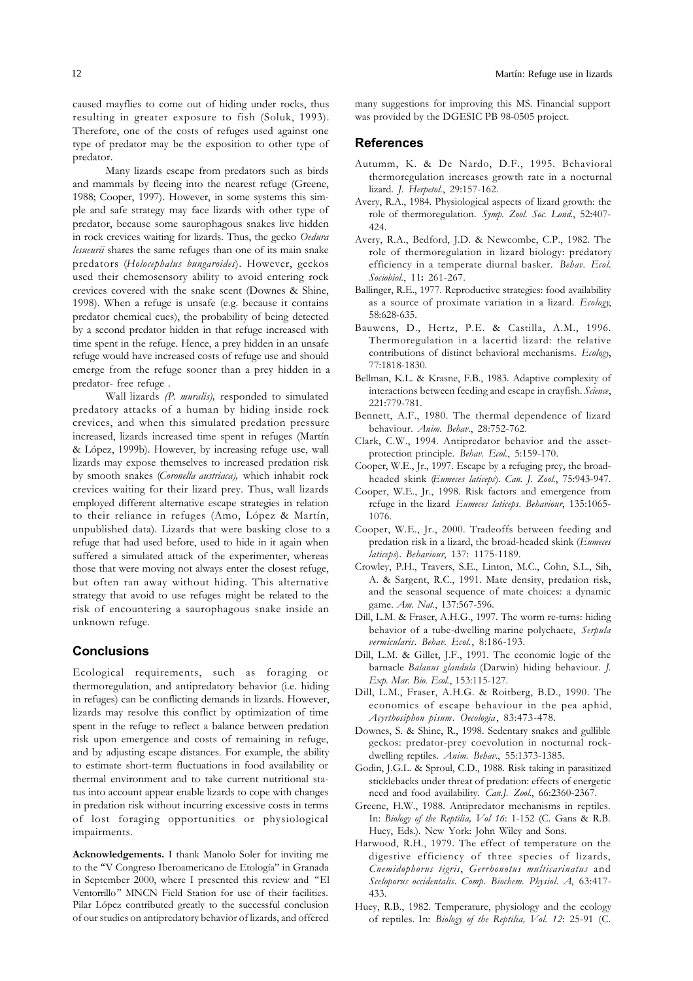Many lizards escape from predators such as birds and mammals by fleeing into the nearest refuge (Greene, 1988; Cooper, 1997). However, in some systems this simple and safe strategy may face lizards with other type of predator, because some saurophagous snakes live hidden in rock crevices waiting for lizards. Thus, the gecko *Oedura lesueurii* shares the same refuges than one of its main snake predators (*Holocephalus bungaroides*). However, geckos used their chemosensory ability to avoid entering rock crevices covered with the snake scent (Downes & Shine, 1998). When a refuge is unsafe (e.g. because it contains predator chemical cues), the probability of being detected by a second predator hidden in that refuge increased with time spent in the refuge. Hence, a prey hidden in an unsafe refuge would have increased costs of refuge use and should emerge from the refuge sooner than a prey hidden in a predator- free refuge .

Wall lizards *(P. muralis),* responded to simulated predatory attacks of a human by hiding inside rock crevices, and when this simulated predation pressure increased, lizards increased time spent in refuges (Martín & López, 1999b). However, by increasing refuge use, wall lizards may expose themselves to increased predation risk by smooth snakes (*Coronella austriaca),* which inhabit rock crevices waiting for their lizard prey. Thus, wall lizards employed different alternative escape strategies in relation to their reliance in refuges (Amo, López & Martín, unpublished data). Lizards that were basking close to a refuge that had used before, used to hide in it again when suffered a simulated attack of the experimenter, whereas those that were moving not always enter the closest refuge, but often ran away without hiding. This alternative strategy that avoid to use refuges might be related to the risk of encountering a saurophagous snake inside an unknown refuge.

# **Conclusions**

Ecological requirements, such as foraging or thermoregulation, and antipredatory behavior (i.e. hiding in refuges) can be conflicting demands in lizards. However, lizards may resolve this conflict by optimization of time spent in the refuge to reflect a balance between predation risk upon emergence and costs of remaining in refuge, and by adjusting escape distances. For example, the ability to estimate short-term fluctuations in food availability or thermal environment and to take current nutritional status into account appear enable lizards to cope with changes in predation risk without incurring excessive costs in terms of lost foraging opportunities or physiological impairments.

**Acknowledgements.** I thank Manolo Soler for inviting me to the "V Congreso Iberoamericano de Etología" in Granada in September 2000, where I presented this review and "El Ventorrillo" MNCN Field Station for use of their facilities. Pilar López contributed greatly to the successful conclusion of our studies on antipredatory behavior of lizards, and offered

many suggestions for improving this MS. Financial support was provided by the DGESIC PB 98-0505 project.

#### **References**

- Autumm, K. & De Nardo, D.F., 1995. Behavioral thermoregulation increases growth rate in a nocturnal lizard. *J. Herpetol.*, 29:157-162.
- Avery, R.A., 1984. Physiological aspects of lizard growth: the role of thermoregulation. *Symp. Zool. Soc. Lond.*, 52:407- 424.
- Avery, R.A., Bedford, J.D. & Newcombe, C.P., 1982. The role of thermoregulation in lizard biology: predatory efficiency in a temperate diurnal basker. *Behav. Ecol. Sociobiol.*, 11**:** 261-267.
- Ballinger, R.E., 1977. Reproductive strategies: food availability as a source of proximate variation in a lizard. *Ecology*, 58:628-635.
- Bauwens, D., Hertz, P.E. & Castilla, A.M., 1996. Thermoregulation in a lacertid lizard: the relative contributions of distinct behavioral mechanisms. *Ecology*, 77:1818-1830.
- Bellman, K.L. & Krasne, F.B., 1983. Adaptive complexity of interactions between feeding and escape in crayfish. *Science*, 221:779-781.
- Bennett, A.F., 1980. The thermal dependence of lizard behaviour. *Anim. Behav.*, 28:752-762.
- Clark, C.W., 1994. Antipredator behavior and the assetprotection principle. *Behav. Ecol.*, 5:159-170.
- Cooper, W.E., Jr., 1997. Escape by a refuging prey, the broadheaded skink (*Eumeces laticeps*). *Can. J. Zool.*, 75:943-947.
- Cooper, W.E., Jr., 1998. Risk factors and emergence from refuge in the lizard *Eumeces laticeps*. *Behaviour*, 135:1065- 1076.
- Cooper, W.E., Jr., 2000. Tradeoffs between feeding and predation risk in a lizard, the broad-headed skink (*Eumeces laticeps*). *Behaviour*, 137: 1175-1189.
- Crowley, P.H., Travers, S.E., Linton, M.C., Cohn, S.L., Sih, A. & Sargent, R.C., 1991. Mate density, predation risk, and the seasonal sequence of mate choices: a dynamic game. *Am. Nat.*, 137:567-596.
- Dill, L.M. & Fraser, A.H.G., 1997. The worm re-turns: hiding behavior of a tube-dwelling marine polychaete, *Serpula vermicularis*. *Behav. Ecol.*, 8:186-193.
- Dill, L.M. & Gillet, J.F., 1991. The economic logic of the barnacle *Balanus glandula* (Darwin) hiding behaviour. *J. Exp. Mar. Bio. Ecol.*, 153:115-127.
- Dill, L.M., Fraser, A.H.G. & Roitberg, B.D., 1990. The economics of escape behaviour in the pea aphid, *Acyrthosiphon pisum*. *Oecologia* , 83:473-478.
- Downes, S. & Shine, R., 1998. Sedentary snakes and gullible geckos: predator-prey coevolution in nocturnal rockdwelling reptiles. *Anim. Behav.*, 55:1373-1385.
- Godin, J.G.L. & Sproul, C.D., 1988. Risk taking in parasitized sticklebacks under threat of predation: effects of energetic need and food availability. *Can.J. Zool.*, 66:2360-2367.
- Greene, H.W., 1988. Antipredator mechanisms in reptiles. In: *Biology of the Reptilia, Vol 16*: 1-152 (C. Gans & R.B. Huey, Eds.). New York: John Wiley and Sons.
- Harwood, R.H., 1979. The effect of temperature on the digestive efficiency of three species of lizards, *Cnemidophorus tigris*, *Gerrhonotus multicarinatus* and *Sceloporus occidentalis*. *Comp. Biochem. Physiol. A*, 63:417- 433.
- Huey, R.B., 1982. Temperature, physiology and the ecology of reptiles. In: *Biology of the Reptilia, Vol. 12*: 25-91 (C.